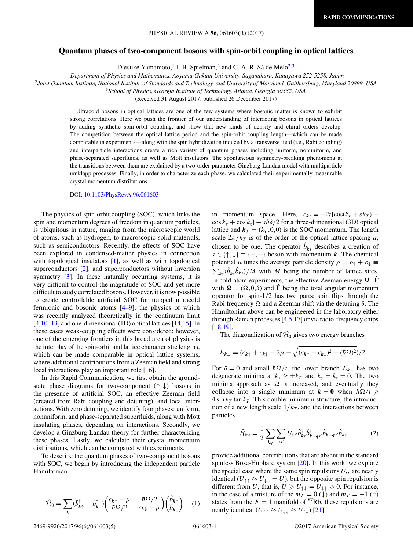## **Quantum phases of two-component bosons with spin-orbit coupling in optical lattices**

Daisuke Yamamoto,<sup>1</sup> I. B. Spielman,<sup>2</sup> and C. A. R. Sá de Melo<sup>2,3</sup>

<sup>1</sup>*Department of Physics and Mathematics, Aoyama-Gakuin University, Sagamihara, Kanagawa 252-5258, Japan*

<sup>2</sup>*Joint Quantum Institute, National Institute of Standards and Technology, and University of Maryland, Gaithersburg, Maryland 20899, USA*

<sup>3</sup>*School of Physics, Georgia Institute of Technology, Atlanta, Georgia 30332, USA*

(Received 31 August 2017; published 26 December 2017)

Ultracold bosons in optical lattices are one of the few systems where bosonic matter is known to exhibit strong correlations. Here we push the frontier of our understanding of interacting bosons in optical lattices by adding synthetic spin-orbit coupling, and show that new kinds of density and chiral orders develop. The competition between the optical lattice period and the spin-orbit coupling length—which can be made comparable in experiments—along with the spin hybridization induced by a transverse field (i.e., Rabi coupling) and interparticle interactions create a rich variety of quantum phases including uniform, nonuniform, and phase-separated superfluids, as well as Mott insulators. The spontaneous symmetry-breaking phenomena at the transitions between them are explained by a two-order-parameter Ginzburg-Landau model with multiparticle umklapp processes. Finally, in order to characterize each phase, we calculated their experimentally measurable crystal momentum distributions.

## DOI: [10.1103/PhysRevA.96.061603](https://doi.org/10.1103/PhysRevA.96.061603)

The physics of spin-orbit coupling (SOC), which links the spin and momentum degrees of freedom in quantum particles, is ubiquitous in nature, ranging from the microscopic world of atoms, such as hydrogen, to macroscopic solid materials, such as semiconductors. Recently, the effects of SOC have been explored in condensed-matter physics in connection with topological insulators [\[1\]](#page-4-0), as well as with topological superconductors [\[2\]](#page-4-0), and superconductors without inversion symmetry [\[3\]](#page-4-0). In these naturally occurring systems, it is very difficult to control the magnitude of SOC and yet more difficult to study correlated bosons. However, it is now possible to create controllable artificial SOC for trapped ultracold fermionic and bosonic atoms [\[4–9\]](#page-4-0), the physics of which was recently analyzed theoretically in the continuum limit  $[4,10-13]$  and one-dimensional (1D) optical lattices  $[14,15]$ . In these cases weak-coupling effects were considered; however, one of the emerging frontiers in this broad area of physics is the interplay of the spin-orbit and lattice characteristic lengths, which can be made comparable in optical lattice systems, where additional contributions from a Zeeman field and strong local interactions play an important role [\[16\]](#page-4-0).

In this Rapid Communication, we first obtain the groundstate phase diagrams for two-component (↑*,*↓) bosons in the presence of artificial SOC, an effective Zeeman field (created from Rabi coupling and detuning), and local interactions. With zero detuning, we identify four phases: uniform, nonuniform, and phase-separated superfluids, along with Mott insulating phases, depending on interactions. Secondly, we develop a Ginzburg-Landau theory for further characterizing these phases. Lastly, we calculate their crystal momentum distributions, which can be compared with experiments.

To describe the quantum phases of two-component bosons with SOC, we begin by introducing the independent particle Hamiltonian

$$
\hat{\mathcal{H}}_0 = \sum_{k} (\hat{b}_{k\uparrow}^{\dagger} - \hat{b}_{k\downarrow}^{\dagger}) \begin{pmatrix} \epsilon_{k\uparrow} - \mu & \hbar \Omega/2 \\ \hbar \Omega/2 & \epsilon_{k\downarrow} - \mu \end{pmatrix} \begin{pmatrix} \hat{b}_{k\uparrow} \\ \hat{b}_{k\downarrow} \end{pmatrix} (1)
$$

in momentum space. Here,  $\epsilon_{ks} = -2t[\cos(k_x + sk_T) +$  $\cos k_y + \cos k_z$ ] +  $s\hbar \delta/2$  for a three-dimensional (3D) optical lattice and  $k_T = (k_T, 0, 0)$  is the SOC momentum. The length scale  $2\pi/k_T$  is of the order of the optical lattice spacing *a*, chosen to be one. The operator  $\hat{b}^{\dagger}_{ks}$  describes a creation of  $s \in \{\uparrow, \downarrow\} \equiv \{+, -\}$  boson with momentum *k*. The chemical potential  $\mu$  tunes the average particle density  $\rho = \rho_{\uparrow} + \rho_{\downarrow} \equiv$  $\sum_{ks} \langle \hat{b}_{ks}^{\dagger} \hat{b}_{ks} \rangle / M$  with *M* being the number of lattice sites. In cold-atom experiments, the effective Zeeman energy  $\Omega \cdot \hat{F}$ with  $\Omega = (\Omega, 0, \delta)$  and  $\hat{F}$  being the total angular momentum operator for spin-1*/*2 has two parts: spin flips through the Rabi frequency  $\Omega$  and a Zeeman shift via the detuning  $\delta$ . The Hamiltonian above can be engineered in the laboratory either through Raman processes [\[4,5,17\]](#page-4-0) or via radio-frequency chips [\[18,19\]](#page-4-0).

The diagonalization of  $\hat{\mathcal{H}}_0$  gives two energy branches

$$
E_{k\pm} = (\epsilon_{k\uparrow} + \epsilon_{k\downarrow} - 2\mu \pm \sqrt{(\epsilon_{k\uparrow} - \epsilon_{k\downarrow})^2 + (\hbar \Omega)^2})/2.
$$

For  $\delta = 0$  and small  $\hbar\Omega/t$ , the lower branch  $E_{k-}$  has two degenerate minima at  $k_x \approx \pm k_T$  and  $k_y = k_z = 0$ . The two minima approach as  $\Omega$  is increased, and eventually they collapse into a single minimum at  $k = 0$  when  $\hbar \Omega / t \geq 0$  $4 \sin k_T \tan k_T$ . This double-minimum structure, the introduction of a new length scale  $1/k<sub>T</sub>$ , and the interactions between particles

$$
\hat{\mathcal{H}}_{int} = \frac{1}{2} \sum_{\mathbf{k}\mathbf{q}} \sum_{ss'} U_{ss'} \hat{b}_{\mathbf{k}s}^{\dagger} \hat{b}_{\mathbf{k}+\mathbf{q}s'}^{\dagger} \hat{b}_{\mathbf{k}-\mathbf{q}s'} \hat{b}_{\mathbf{k}s}
$$
(2)

provide additional contributions that are absent in the standard spinless Bose-Hubbard system [\[20\]](#page-4-0). In this work, we explore the special case where the same spin repulsions  $U_{ss}$  are nearly identical  $(U_{\uparrow\uparrow} \approx U_{\downarrow\downarrow} = U)$ , but the opposite spin repulsion is different from *U*, that is,  $U \ge U_{\uparrow\downarrow} = U_{\downarrow\uparrow} \ge 0$ . For instance, in the case of a mixture of the  $m_F = 0 \, (\downarrow)$  and  $m_F = -1 \, (\uparrow)$ states from the  $F = 1$  manifold of <sup>87</sup>Rb, these repulsions are nearly identical  $(U_{\uparrow\uparrow} \approx U_{\downarrow\downarrow} \approx U_{\uparrow\downarrow})$  [\[21\]](#page-4-0).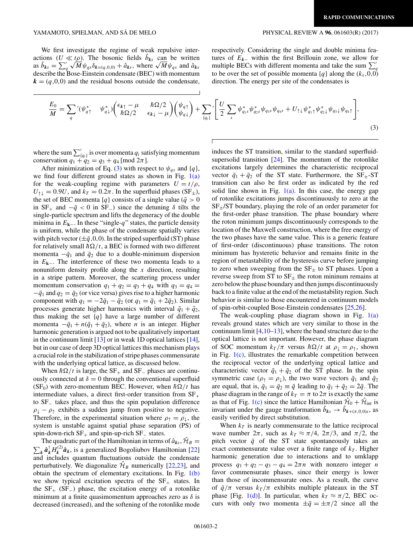We first investigate the regime of weak repulsive interactions  $(U \ll t\rho)$ . The bosonic fields  $\hat{b}_{ks}$  can be written actions  $(\mathcal{U} \ll t\rho)$ . The bosonic fields  $b_{ks}$  can be written<br>as  $\hat{b}_{ks} = \sum_{q}^{\prime} \sqrt{M} \psi_{qs} \delta_{k=(q,0,0)} + \hat{a}_{ks}$ , where  $\sqrt{M} \psi_{qs}$  and  $\hat{a}_{ks}$ describe the Bose-Einstein condensate (BEC) with momentum  $\mathbf{k} = (q,0,0)$  and the residual bosons outside the condensate,

respectively. Considering the single and double minima features of  $E_k$ – within the first Brillouin zone, we allow for multiple BECs with different momenta and take the sum  $\sum_{q}^{'}$ to be over the set of possible momenta  $\{q\}$  along the  $(k_x, 0, 0)$ direction. The energy per site of the condensates is

$$
\frac{E_0}{M} = \sum_q \left( \psi_{q\uparrow}^* - \psi_{q\downarrow}^* \right) \left( \frac{\epsilon_{k\uparrow} - \mu}{\hbar \Omega/2} - \frac{\hbar \Omega/2}{\epsilon_{k\downarrow} - \mu} \right) \left( \psi_{q\downarrow} \right) + \sum_{\{q_i\}} \left[ \frac{U}{2} \sum_s \psi_{q_1s}^* \psi_{q_2s}^* \psi_{q_3s} \psi_{q_4s} + U_{\uparrow\downarrow} \psi_{q_1\uparrow}^* \psi_{q_2\downarrow}^* \psi_{q_3\downarrow} \psi_{q_4\uparrow} \right],
$$
\n(3)

where the sum  $\sum'_{q_i}$  is over momenta  $q_i$  satisfying momentum conservation  $q_1 + q_2 = q_3 + q_4 \text{ [mod } 2\pi \text{].}$ 

After minimization of Eq. (3) with respect to  $\psi_{qs}$  and  $\{q\}$ , we find four different ground states as shown in Fig.  $1(a)$ for the weak-coupling regime with parameters  $U = t/\rho$ ,  $U_{\uparrow\downarrow} = 0.9U$ , and  $k_T = 0.2\pi$ . In the superfluid phases (SF<sub>±</sub>), the set of BEC momenta  ${q}$  consists of a single value ( $\bar{q} > 0$ in  $SF_+$  and  $-\bar{q} < 0$  in  $SF_-$ ) since the detuning  $\delta$  tilts the single-particle spectrum and lifts the degeneracy of the double minima in *E***k**<sup>−</sup>. In these "single-*q*" states, the particle density is uniform, while the phase of the condensate spatially varies with pitch vector  $(\pm \bar{q}, 0, 0)$ . In the striped superfluid (ST) phase for relatively small  $\hbar\Omega/t$ , a BEC is formed with two different momenta  $-\bar{q}_1$  and  $\bar{q}_2$  due to a double-minimum dispersion in *E***k**<sup>−</sup>. The interference of these two momenta leads to a nonuniform density profile along the *x* direction, resulting in a stripe pattern. Moreover, the scattering process under momentum conservation  $q_1 + q_2 = q_3 + q_4$  with  $q_3 = q_4 =$  $-\bar{q}_1$  and  $q_2 = \bar{q}_2$  (or vice versa) gives rise to a higher harmonic component with  $q_1 = -2\bar{q}_1 - \bar{q}_2$  (or  $q_1 = \bar{q}_1 + 2\bar{q}_2$ ). Similar processes generate higher harmonics with interval  $\bar{q}_1 + \bar{q}_2$ , thus making the set  ${q}$  have a large number of different momenta  $-\bar{q}_1 + n(\bar{q}_1 + \bar{q}_2)$ , where *n* is an integer. Higher harmonic generation is argued not to be qualitatively important in the continuum limit  $[13]$  or in weak 1D optical lattices  $[14]$ , but in our case of deep 3D optical lattices this mechanism plays a crucial role in the stabilization of stripe phases commensurate with the underlying optical lattice, as discussed below.

When  $\hbar\Omega/t$  is large, the SF<sub>+</sub> and SF<sub>-</sub> phases are continuously connected at  $\delta = 0$  through the conventional superfluid (SF<sub>0</sub>) with zero-momentum BEC. However, when  $\hbar\Omega/t$  has intermediate values, a direct first-order transition from  $SF_{+}$ to SF<sup>−</sup> takes place, and thus the spin population difference  $\rho_{\perp} - \rho_{\uparrow}$  exhibits a sudden jump from positive to negative. Therefore, in the experimental situation where  $\rho_{\uparrow} = \rho_{\downarrow}$ , the system is unstable against spatial phase separation (PS) of spin-down-rich  $SF_+$  and spin-up-rich  $SF_$  states.

The quadratic part of the Hamiltonian in terms of  $\hat{a}_{ks}$ ,  $\hat{\mathcal{H}}_B = \sum_k \hat{a}_k^{\dagger} H_k^{(2)} \hat{a}_k$ , is a generalized Bogoliubov Hamiltonian [\[22\]](#page-4-0) and includes quantum fluctuations outside the condensate perturbatively. We diagonalize  $\hat{\mathcal{H}}_B$  numerically [\[22,23\]](#page-4-0), and obtain the spectrum of elementary excitations. In Fig.  $1(b)$ we show typical excitation spectra of the  $SF_{+}$  states. In the  $SF_{+}$  (SF<sub>−</sub>) phase, the excitation energy of a rotonlike minimum at a finite quasimomentum approaches zero as *δ* is decreased (increased), and the softening of the rotonlike mode

induces the ST transition, similar to the standard superfluidsupersolid transition  $[24]$ . The momentum of the rotonlike excitations largely determines the characteristic reciprocal vector  $\bar{q}_1 + \bar{q}_2$  of the ST state. Furthermore, the SF<sub>±</sub>-ST transition can also be first order as indicated by the red solid line shown in Fig.  $1(a)$ . In this case, the energy gap of rotonlike excitations jumps discontinuously to zero at the  $SF_{\pm}/ST$  boundary, playing the role of an order parameter for the first-order phase transition. The phase boundary where the roton minimum jumps discontinuously corresponds to the location of the Maxwell construction, where the free energy of the two phases have the same value. This is a generic feature of first-order (discontinuous) phase transitions. The roton minimum has hysteretic behavior and remains finite in the region of metastability of the hysteresis curve before jumping to zero when sweeping from the  $SF_{\pm}$  to ST phases. Upon a reverse sweep from ST to  $SF_{\pm}$  the roton mininum remains at zero below the phase boundary and then jumps discontinuously back to a finite value at the end of the metastability region. Such behavior is similar to those encountered in continuum models of spin-orbit-coupled Bose-Einstein condensates [\[25,26\]](#page-4-0).

The weak-coupling phase diagram shown in Fig.  $1(a)$ reveals ground states which are very similar to those in the continuum limit  $[4,10-13]$ , where the band structure due to the optical lattice is not important. However, the phase diagram of SOC momentum  $k_T/\pi$  versus  $\hbar\Omega/t$  at  $\rho_\downarrow = \rho_\uparrow$ , shown in Fig.  $1(c)$ , illustrates the remarkable competition between the reciprocal vector of the underlying optical lattice and characteristic vector  $\bar{q}_1 + \bar{q}_2$  of the ST phase. In the spin symmetric case ( $\rho_{\uparrow} = \rho_{\downarrow}$ ), the two wave vectors  $\bar{q}_1$  and  $\bar{q}_2$ are equal, that is,  $\bar{q}_1 = \bar{q}_2 \equiv \bar{q}$  leading to  $\bar{q}_1 + \bar{q}_2 = 2\bar{q}$ . The phase diagram in the range of  $k_T = \pi$  to  $2\pi$  is exactly the same as that of Fig. [1\(c\)](#page-2-0) since the lattice Hamiltonian  $\mathcal{H}_0 + \mathcal{H}_{int}$  is invariant under the gauge tranformation  $b_{ks} \rightarrow b_{k+(\pi,0,0)s}$ , as easily verified by direct substitution.

When  $k_T$  is nearly commensurate to the lattice reciprocal wave number  $2\pi$ , such as  $k_T \approx \pi/4$ ,  $2\pi/3$ , and  $\pi/2$ , the pitch vector  $\bar{q}$  of the ST state spontaneously takes an exact commensurate value over a finite range of  $k_T$ . Higher harmonic generation due to interactions and to umklapp process  $q_1 + q_2 - q_3 - q_4 = 2\pi n$  with nonzero integer *n* favor commensurate phases, since their energy is lower than those of incommensurate ones. As a result, the curve of  $\bar{q}/\pi$  versus  $k_T/\pi$  exhibits multiple plateaux in the ST phase [Fig. [1\(d\)\]](#page-2-0). In particular, when  $k_T \approx \pi/2$ , BEC occurs with only two momenta  $\pm \bar{q} = \pm \pi/2$  since all the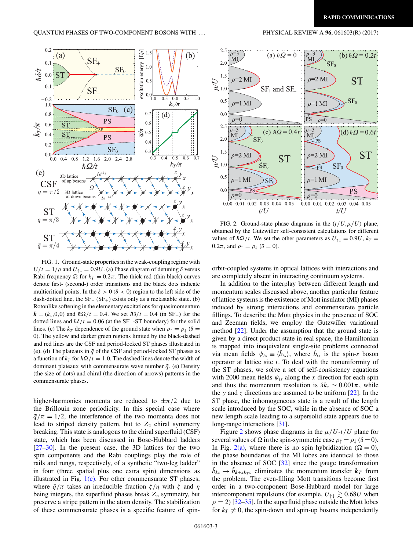<span id="page-2-0"></span>

FIG. 1. Ground-state properties in the weak-coupling regime with  $U/t = 1/\rho$  and  $U_{\uparrow\downarrow} = 0.9U$ . (a) Phase diagram of detuning  $\delta$  versus Rabi frequency  $\Omega$  for  $k_T = 0.2\pi$ . The thick red (thin black) curves denote first- (second-) order transitions and the black dots indicate multicritical points. In the  $\delta > 0$  ( $\delta < 0$ ) region to the left side of the dash-dotted line, the  $SF_-(SF_+)$  exists only as a metastable state. (b) Rotonlike softening in the elementary excitations for quasimomentum  $k = (k_x, 0, 0)$  and  $\hbar \Omega / t = 0.4$ . We set  $\hbar \delta / t = 0.4$  (in SF<sub>+</sub>) for the dotted lines and  $\hbar \delta / t = 0.06$  (at the SF<sub>+</sub>-ST boundary) for the solid lines. (c) The  $k_T$  dependence of the ground state when  $\rho_{\uparrow} = \rho_{\perp}$  ( $\delta =$ 0). The yellow and darker green regions limited by the black-dashed and red lines are the CSF and period-locked ST phases illustrated in (e). (d) The plateaux in  $\bar{q}$  of the CSF and period-locked ST phases as a function of  $k_T$  for  $\hbar\Omega/t = 1.0$ . The dashed lines denote the width of dominant plateaux with commensurate wave number  $\bar{q}$ . (e) Density (the size of dots) and chiral (the direction of arrows) patterns in the commensurate phases.

higher-harmonics momenta are reduced to  $\pm \pi/2$  due to the Brillouin zone periodicity. In this special case where  $\bar{q}/\pi = 1/2$ , the interference of the two momenta does not lead to striped density pattern, but to  $Z_2$  chiral symmetry breaking. This state is analogous to the chiral superfluid (CSF) state, which has been discussed in Bose-Hubbard ladders [\[27–30\]](#page-4-0). In the present case, the 3D lattices for the two spin components and the Rabi couplings play the role of rails and rungs, respectively, of a synthetic "two-leg ladder" in four (three spatial plus one extra spin) dimensions as illustrated in Fig.  $1(e)$ . For other commensurate ST phases, where  $\bar{q}/\pi$  takes an irreducible fraction  $\zeta/\eta$  with  $\zeta$  and  $\eta$ being integers, the superfluid phases break  $Z_n$  symmetry, but preserve a stripe pattern in the atom density. The stabilization of these commensurate phases is a specific feature of spin-





FIG. 2. Ground-state phase diagrams in the  $(t/U, \mu/U)$  plane, obtained by the Gutzwiller self-consistent calculations for different values of  $\hbar\Omega/t$ . We set the other parameters as  $U_{\uparrow\downarrow} = 0.9U$ ,  $k_T =$ 0.2 $\pi$ , and  $\rho$ <sub>↑</sub> =  $\rho$ <sub>↓</sub> ( $\delta$  = 0).

orbit-coupled systems in optical lattices with interactions and are completely absent in interacting continuum systems.

In addition to the interplay between different length and momentum scales discussed above, another particular feature of lattice systems is the existence of Mott insulator (MI) phases induced by strong interactions and commensurate particle fillings. To describe the Mott physics in the presence of SOC and Zeeman fields, we employ the Gutzwiller variational method [\[22\]](#page-4-0). Under the assumption that the ground state is given by a direct product state in real space, the Hamiltonian is mapped into inequivalent single-site problems connected via mean fields  $\psi_{is} \equiv \langle \hat{b}_{is} \rangle$ , where  $\hat{b}_{is}$  is the spin-*s* boson operator at lattice site *i*. To deal with the nonuniformity of the ST phases, we solve a set of self-consistency equations with 2000 mean fields  $\psi_{is}$  along the *x* direction for each spin and thus the momentum resolution is  $\delta k_x \sim 0.001\pi$ , while the *y* and *z* directions are assumed to be uniform  $[22]$ . In the ST phase, the inhomogeneous state is a result of the length scale introduced by the SOC, while in the absence of SOC a new length scale leading to a supersolid state appears due to long-range interactions [\[31\]](#page-4-0).

Figure 2 shows phase diagrams in the  $\mu/U$ -*t/U* plane for several values of  $\Omega$  in the spin-symmetric case  $\rho_{\uparrow} = \rho_{\downarrow} (\delta = 0)$ . In Fig. 2(a), where there is no spin hybridization ( $\Omega = 0$ ), the phase boundaries of the MI lobes are identical to those in the absence of SOC [\[32\]](#page-4-0) since the gauge transformation  $\hat{b}_{ks} \rightarrow \hat{b}_{k+sk_{TS}}$  eliminates the momentum transfer  $k_T$  from the problem. The even-filling Mott transitions become first order in a two-component Bose-Hubbard model for large intercomponent repulsions (for example,  $U_{\uparrow\downarrow} \gtrsim 0.68U$  when  $\rho = 2$ ) [\[32–35\]](#page-4-0). In the superfluid phase outside the Mott lobes for  $k_T \neq 0$ , the spin-down and spin-up bosons independently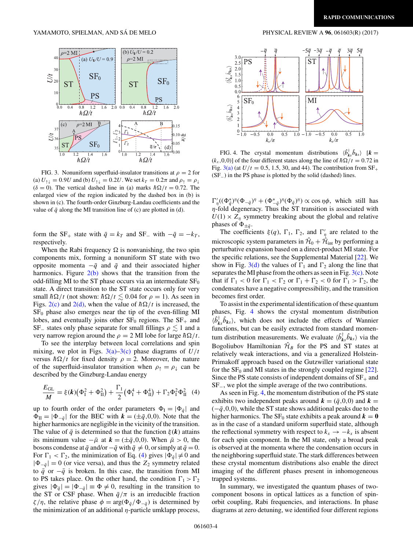

FIG. 3. Nonuniform superfluid-insulator transitions at  $\rho = 2$  for (a)  $U_{\uparrow\downarrow} = 0.9U$  and (b)  $U_{\uparrow\downarrow} = 0.2U$ . We set  $k_T = 0.2\pi$  and  $\rho_{\uparrow} = \rho_{\downarrow}$  $(\delta = 0)$ . The vertical dashed line in (a) marks  $\hbar \Omega / t = 0.72$ . The enlarged view of the region indicated by the dashed box in (b) is shown in (c). The fourth-order Ginzburg-Landau coefficients and the value of  $\bar{q}$  along the MI transition line of (c) are plotted in (d).

form the SF<sub>+</sub> state with  $\bar{q} = k_T$  and SF<sub>−</sub> with  $-\bar{q} = -k_T$ , respectively.

When the Rabi frequency  $\Omega$  is nonvanishing, the two spin components mix, forming a nonuniform ST state with two opposite momenta  $-\bar{q}$  and  $\bar{q}$  and their associated higher harmonics. Figure  $2(b)$  shows that the transition from the odd-filling MI to the ST phase occurs via an intermediate  $SF<sub>0</sub>$ state. A direct transition to the ST state occurs only for very small  $\hbar\Omega/t$  (not shown:  $\hbar\Omega/t \lesssim 0.04$  for  $\rho = 1$ ). As seen in Figs.  $2(c)$  and  $2(d)$ , when the value of  $\hbar\Omega/t$  is increased, the  $SF<sub>0</sub>$  phase also emerges near the tip of the even-filling MI lobes, and eventually joins other  $SF_0$  regions. The  $SF_+$  and SF<sub>−</sub> states only phase separate for small fillings  $\rho \leq 1$  and a very narrow region around the  $\rho = 2$  MI lobe for large  $\hbar \Omega/t$ .

To see the interplay between local correlations and spin mixing, we plot in Figs.  $3(a)$ – $3(c)$  phase diagrams of  $U/t$ versus  $\hbar \Omega/t$  for fixed density  $\rho = 2$ . Moreover, the nature of the superfluid-insulator transition when  $\rho_{\uparrow} = \rho_{\downarrow}$  can be described by the Ginzburg-Landau energy

$$
\frac{E_{\text{GL}}}{M} = \xi(\mathbf{k}) \left( \Phi_{\text{I}}^2 + \Phi_{\text{II}}^2 \right) + \frac{\Gamma_1}{2} \left( \Phi_{\text{I}}^4 + \Phi_{\text{II}}^4 \right) + \Gamma_2 \Phi_{\text{I}}^2 \Phi_{\text{II}}^2 \tag{4}
$$

up to fourth order of the order parameters  $\Phi_I = |\Phi_{\bar{q}}|$  and  $\Phi_{\text{II}} = |\Phi_{-\bar{a}}|$  for the BEC with  $k = (\pm \bar{q}, 0, 0)$ . Note that the higher harmonics are negligible in the vicinity of the transition. The value of  $\bar{q}$  is determined so that the function  $\xi(\mathbf{k})$  attains its minimum value  $-\bar{\mu}$  at  $\mathbf{k} = (\pm \bar{q}, 0, 0)$ . When  $\bar{\mu} > 0$ , the bosons condense at  $\bar{q}$  and/or  $-\bar{q}$  with  $\bar{q} \neq 0$ , or simply at  $\bar{q} = 0$ . For  $\Gamma_1 < \Gamma_2$ , the minimization of Eq. (4) gives  $|\Phi_{\bar{q}}| \neq 0$  and  $|\Phi_{-\bar{q}}| = 0$  (or vice versa), and thus the  $Z_2$  symmetry related to  $\bar{q}$  or  $-\bar{q}$  is broken. In this case, the transition from MI to PS takes place. On the other hand, the condition  $\Gamma_1 > \Gamma_2$ gives  $|\Phi_{\bar{q}}| = |\Phi_{-\bar{q}}| \equiv \Phi \neq 0$ , resulting in the transition to the ST or CSF phase. When  $\bar{q}/\pi$  is an irreducible fraction *ζ*/η, the relative phase  $\phi = \arg(\Phi_{\bar{q}}/\Phi_{-\bar{q}})$  is determined by the minimization of an additional *η*-particle umklapp process,



FIG. 4. The crystal momentum distributions  $\langle \hat{b}_k^{\dagger}, \hat{b}_{ks} \rangle$  [ $k =$  $(k_x, 0, 0)$ ] of the four different states along the line of  $\hbar\Omega/t = 0.72$  in Fig. 3(a) (at  $U/t = 0.5, 1.5, 30,$  and 44). The contribution from  $SF_+$ (SF−) in the PS phase is plotted by the solid (dashed) lines.

 $\Gamma'_{\eta}((\Phi_{\bar{q}}^*)^{\eta}((\Phi_{-\bar{q}})^{\eta} + (\Phi_{-\bar{q}}^*)^{\eta}((\Phi_{\bar{q}})^{\eta}) \propto \cos \eta \phi$ , which still has *η*-fold degeneracy. Thus the ST transition is associated with  $U(1) \times Z_\eta$  symmetry breaking about the global and relative phases of  $\Phi_{\pm\bar{q}}$ .

The coefficients  $\xi(q)$ ,  $\Gamma_1$ ,  $\Gamma_2$ , and  $\Gamma'_\eta$  are related to the microscopic system parameters in  $\hat{\mathcal{H}}_0 + \hat{\mathcal{H}}_{int}$  by performing a perturbative expansion based on a direct-product MI state. For the specific relations, see the Supplemental Material [\[22\]](#page-4-0). We show in Fig. 3(d) the values of  $\Gamma_1$  and  $\Gamma_2$  along the line that separates the MI phase from the others as seen in Fig.  $3(c)$ . Note that if  $\Gamma_1 < 0$  for  $\Gamma_1 < \Gamma_2$  or  $\Gamma_1 + \Gamma_2 < 0$  for  $\Gamma_1 > \Gamma_2$ , the condensates have a negative compressibility, and the transition becomes first order.

To assist in the experimental identification of these quantum phases, Fig. 4 shows the crystal momentum distribution  $\langle \hat{b}_{k}^{\dagger}, \hat{b}_{k} \rangle$ , which does not include the effects of Wannier functions, but can be easily extracted from standard momentum distribution measurements. We evaluate  $\langle \hat{b}_{ks}^{\dagger} \hat{b}_{ks} \rangle$  via the Bogoliubov Hamiltonian  $\hat{\mathcal{H}}_B$  for the PS and ST states at relatively weak interactions, and via a generalized Holstein-Primakoff approach based on the Gutzwiller variational state for the  $SF_0$  and MI states in the strongly coupled regime [\[22\]](#page-4-0). Since the PS state consists of independent domains of  $SF_+$  and SF−, we plot the simple average of the two contributions.

As seen in Fig. 4, the momentum distribution of the PS state exhibits two independent peaks around  $\mathbf{k} = (\bar{q}, 0, 0)$  and  $\mathbf{k} =$  $(-\bar{q},0,0)$ , while the ST state shows additional peaks due to the higher harmonics. The  $SF_0$  state exhibits a peak around  $k = 0$ as in the case of a standard uniform superfluid state, although the reflectional symmetry with respect to  $k_x \rightarrow -k_x$  is absent for each spin component. In the MI state, only a broad peak is observed at the momenta where the condensation occurs in the neighboring superfluid state. The stark differences between these crystal momentum distributions also enable the direct imaging of the different phases present in inhomogeneous trapped systems.

In summary, we investigated the quantum phases of twocomponent bosons in optical lattices as a function of spinorbit coupling, Rabi frequencies, and interactions. In phase diagrams at zero detuning, we identified four different regions